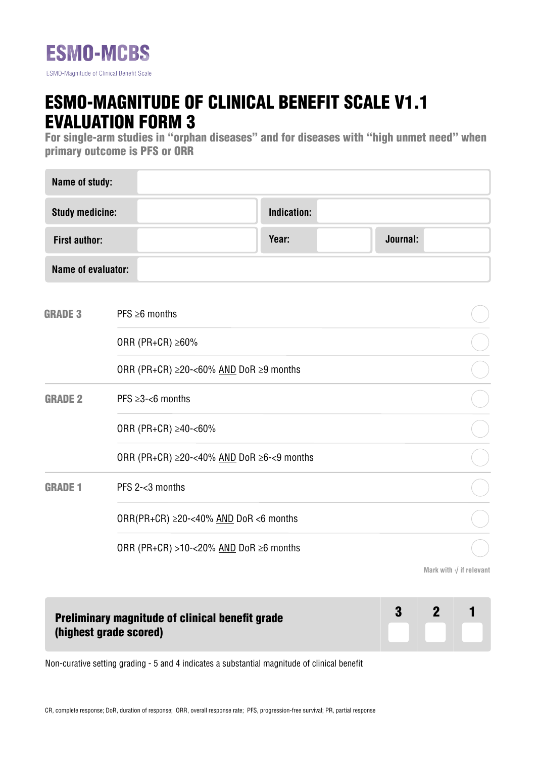

## ESMO-MAGNITUDE OF CLINICAL BENEFIT SCALE V1.1 EVALUATION FORM 3

For single-arm studies in "orphan diseases" and for diseases with "high unmet need" when primary outcome is PFS or ORR

| Name of study:         |                                                         |                                                       |       |  |          |                                 |  |
|------------------------|---------------------------------------------------------|-------------------------------------------------------|-------|--|----------|---------------------------------|--|
| <b>Study medicine:</b> |                                                         | <b>Indication:</b>                                    |       |  |          |                                 |  |
| <b>First author:</b>   |                                                         |                                                       | Year: |  | Journal: |                                 |  |
| Name of evaluator:     |                                                         |                                                       |       |  |          |                                 |  |
| <b>GRADE 3</b>         | $PFS \geq 6$ months                                     |                                                       |       |  |          |                                 |  |
|                        | ORR (PR+CR) $\geq 60\%$                                 |                                                       |       |  |          |                                 |  |
|                        |                                                         | ORR (PR+CR) $\geq$ 20-<60% AND DoR $\geq$ 9 months    |       |  |          |                                 |  |
| <b>GRADE 2</b>         | PFS $\geq$ 3-<6 months                                  |                                                       |       |  |          |                                 |  |
|                        | ORR (PR+CR) ≥40-<60%                                    |                                                       |       |  |          |                                 |  |
|                        |                                                         | ORR (PR+CR) $\geq$ 20-<40% AND DoR $\geq$ 6-<9 months |       |  |          |                                 |  |
| <b>GRADE 1</b>         | PFS 2-<3 months                                         |                                                       |       |  |          |                                 |  |
|                        |                                                         | ORR(PR+CR) $\geq$ 20-<40% AND DoR <6 months           |       |  |          |                                 |  |
|                        | ORR (PR+CR) >10-<20% $\triangle MD$ DoR $\geq 6$ months |                                                       |       |  |          |                                 |  |
|                        |                                                         |                                                       |       |  |          | Mark with $\sqrt{}$ if relevant |  |

## Preliminary magnitude of clinical benefit grade (highest grade scored)



Non-curative setting grading - 5 and 4 indicates a substantial magnitude of clinical benefit